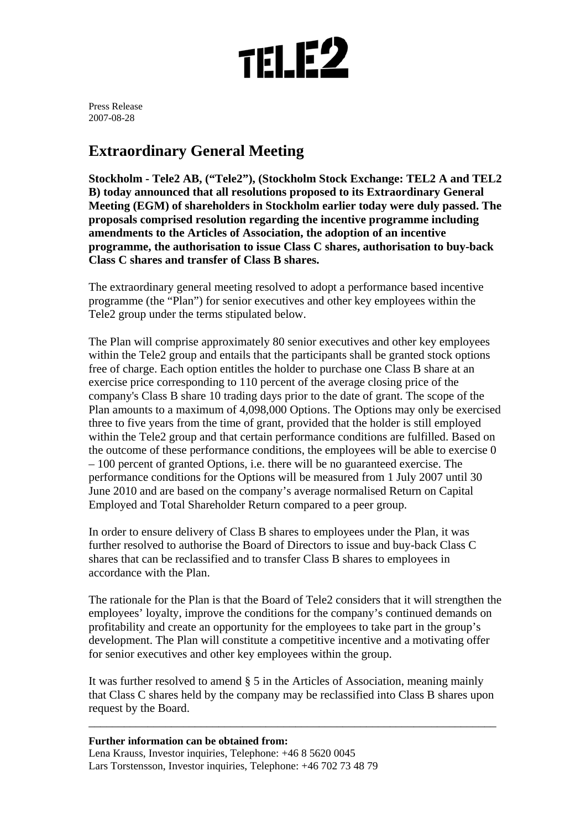

Press Release 2007-08-28

## **Extraordinary General Meeting**

**Stockholm - Tele2 AB, ("Tele2"), (Stockholm Stock Exchange: TEL2 A and TEL2 B) today announced that all resolutions proposed to its Extraordinary General Meeting (EGM) of shareholders in Stockholm earlier today were duly passed. The proposals comprised resolution regarding the incentive programme including amendments to the Articles of Association, the adoption of an incentive programme, the authorisation to issue Class C shares, authorisation to buy-back Class C shares and transfer of Class B shares.** 

The extraordinary general meeting resolved to adopt a performance based incentive programme (the "Plan") for senior executives and other key employees within the Tele2 group under the terms stipulated below.

The Plan will comprise approximately 80 senior executives and other key employees within the Tele2 group and entails that the participants shall be granted stock options free of charge. Each option entitles the holder to purchase one Class B share at an exercise price corresponding to 110 percent of the average closing price of the company's Class B share 10 trading days prior to the date of grant. The scope of the Plan amounts to a maximum of 4,098,000 Options. The Options may only be exercised three to five years from the time of grant, provided that the holder is still employed within the Tele2 group and that certain performance conditions are fulfilled. Based on the outcome of these performance conditions, the employees will be able to exercise 0 – 100 percent of granted Options, i.e. there will be no guaranteed exercise. The performance conditions for the Options will be measured from 1 July 2007 until 30 June 2010 and are based on the company's average normalised Return on Capital Employed and Total Shareholder Return compared to a peer group.

In order to ensure delivery of Class B shares to employees under the Plan, it was further resolved to authorise the Board of Directors to issue and buy-back Class C shares that can be reclassified and to transfer Class B shares to employees in accordance with the Plan.

The rationale for the Plan is that the Board of Tele2 considers that it will strengthen the employees' loyalty, improve the conditions for the company's continued demands on profitability and create an opportunity for the employees to take part in the group's development. The Plan will constitute a competitive incentive and a motivating offer for senior executives and other key employees within the group.

It was further resolved to amend § 5 in the Articles of Association, meaning mainly that Class C shares held by the company may be reclassified into Class B shares upon request by the Board.

\_\_\_\_\_\_\_\_\_\_\_\_\_\_\_\_\_\_\_\_\_\_\_\_\_\_\_\_\_\_\_\_\_\_\_\_\_\_\_\_\_\_\_\_\_\_\_\_\_\_\_\_\_\_\_\_\_\_\_\_\_\_\_\_\_\_\_\_\_